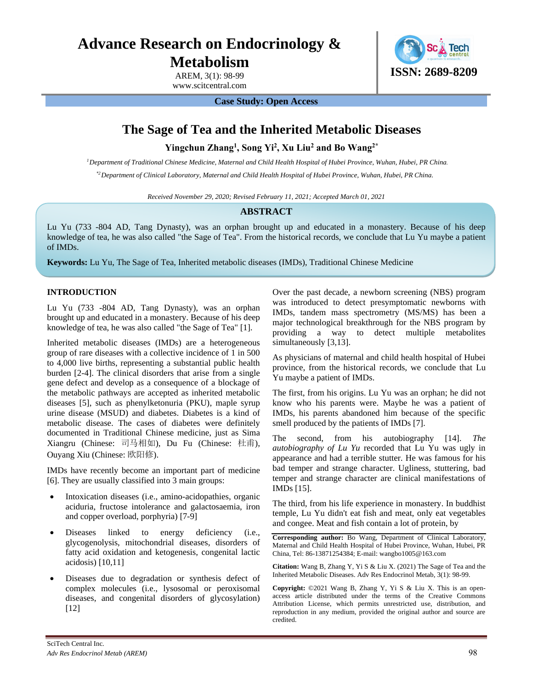# **Advance Research on Endocrinology & Metabolism**

AREM, 3(1): 98-99 www.scitcentral.com



**Case Study: Open Access**

# **The Sage of Tea and the Inherited Metabolic Diseases**

**Yingchun Zhang<sup>1</sup> , Song Yi<sup>2</sup> , Xu Liu<sup>2</sup> and Bo Wang2\***

*1 Department of Traditional Chinese Medicine, Maternal and Child Health Hospital of Hubei Province, Wuhan, Hubei, PR China.*

*\*<sup>2</sup>Department of Clinical Laboratory, Maternal and Child Health Hospital of Hubei Province, Wuhan, Hubei, PR China.*

*Received November 29, 2020; Revised February 11, 2021; Accepted March 01, 2021*

# **ABSTRACT**

Lu Yu (733 -804 AD, Tang Dynasty), was an orphan brought up and educated in a monastery. Because of his deep knowledge of tea, he was also called "the Sage of Tea". From the historical records, we conclude that Lu Yu maybe a patient of IMDs.

**Keywords:** Lu Yu, The Sage of Tea, Inherited metabolic diseases (IMDs), Traditional Chinese Medicine

# **INTRODUCTION**

Lu Yu (733 -804 AD, Tang Dynasty), was an orphan brought up and educated in a monastery. Because of his deep knowledge of tea, he was also called "the Sage of Tea" [1].

Inherited metabolic diseases (IMDs) are a heterogeneous group of rare diseases with a collective incidence of 1 in 500 to 4,000 live births, representing a substantial public health burden [2-4]. The clinical disorders that arise from a single gene defect and develop as a consequence of a blockage of the metabolic pathways are accepted as inherited metabolic diseases [5], such as phenylketonuria (PKU), maple syrup urine disease (MSUD) and diabetes. Diabetes is a kind of metabolic disease. The cases of diabetes were definitely documented in Traditional Chinese medicine, just as Sima Xiangru (Chinese: 司马相如), Du Fu (Chinese: 杜甫), Ouyang Xiu (Chinese: 欧阳修).

IMDs have recently become an important part of medicine [6]. They are usually classified into 3 main groups:

- Intoxication diseases (i.e., amino-acidopathies, organic aciduria, fructose intolerance and galactosaemia, iron and copper overload, porphyria) [7-9]
- Diseases linked to energy deficiency (i.e., glycogenolysis, mitochondrial diseases, disorders of fatty acid oxidation and ketogenesis, congenital lactic acidosis) [10,11]
- Diseases due to degradation or synthesis defect of complex molecules (i.e., lysosomal or peroxisomal diseases, and congenital disorders of glycosylation) [12]

Over the past decade, a newborn screening (NBS) program was introduced to detect presymptomatic newborns with IMDs, tandem mass spectrometry (MS/MS) has been a major technological breakthrough for the NBS program by providing a way to detect multiple metabolites simultaneously [3,13].

As physicians of maternal and child health hospital of Hubei province, from the historical records, we conclude that Lu Yu maybe a patient of IMDs.

The first, from his origins. Lu Yu was an orphan; he did not know who his parents were. Maybe he was a patient of IMDs, his parents abandoned him because of the specific smell produced by the patients of IMDs [7].

The second, from his autobiography [14]. *The autobiography of Lu Yu* recorded that Lu Yu was ugly in appearance and had a terrible stutter. He was famous for his bad temper and strange character. Ugliness, stuttering, bad temper and strange character are clinical manifestations of IMDs [15].

The third, from his life experience in monastery. In buddhist temple, Lu Yu didn't eat fish and meat, only eat vegetables and congee. Meat and fish contain a lot of protein, by

**Corresponding author:** Bo Wang, Department of Clinical Laboratory, Maternal and Child Health Hospital of Hubei Province, Wuhan, Hubei, PR China, Tel: 86-13871254384; E-mail: wangbo1005@163.com

**Citation:** Wang B, Zhang Y, Yi S & Liu X. (2021) The Sage of Tea and the Inherited Metabolic Diseases. Adv Res Endocrinol Metab, 3(1): 98-99.

**Copyright:** ©2021 Wang B, Zhang Y, Yi S & Liu X. This is an openaccess article distributed under the terms of the Creative Commons Attribution License, which permits unrestricted use, distribution, and reproduction in any medium, provided the original author and source are credited.